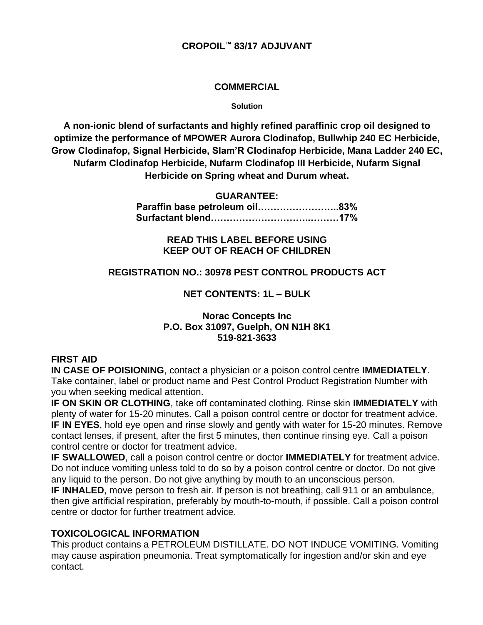## **COMMERCIAL**

#### **Solution**

**A non-ionic blend of surfactants and highly refined paraffinic crop oil designed to optimize the performance of MPOWER Aurora Clodinafop, Bullwhip 240 EC Herbicide, Grow Clodinafop, Signal Herbicide, Slam'R Clodinafop Herbicide, Mana Ladder 240 EC, Nufarm Clodinafop Herbicide, Nufarm Clodinafop III Herbicide, Nufarm Signal Herbicide on Spring wheat and Durum wheat.**

#### **GUARANTEE:**

**Paraffin base petroleum oil……………………..83% Surfactant blend…………………………..………17%**

# **READ THIS LABEL BEFORE USING KEEP OUT OF REACH OF CHILDREN**

## **REGISTRATION NO.: 30978 PEST CONTROL PRODUCTS ACT**

## **NET CONTENTS: 1L – BULK**

## **Norac Concepts Inc P.O. Box 31097, Guelph, ON N1H 8K1 519-821-3633**

## **FIRST AID**

**IN CASE OF POISIONING**, contact a physician or a poison control centre **IMMEDIATELY**. Take container, label or product name and Pest Control Product Registration Number with you when seeking medical attention.

**IF ON SKIN OR CLOTHING**, take off contaminated clothing. Rinse skin **IMMEDIATELY** with plenty of water for 15-20 minutes. Call a poison control centre or doctor for treatment advice. **IF IN EYES**, hold eye open and rinse slowly and gently with water for 15-20 minutes. Remove contact lenses, if present, after the first 5 minutes, then continue rinsing eye. Call a poison control centre or doctor for treatment advice.

**IF SWALLOWED**, call a poison control centre or doctor **IMMEDIATELY** for treatment advice. Do not induce vomiting unless told to do so by a poison control centre or doctor. Do not give any liquid to the person. Do not give anything by mouth to an unconscious person.

**IF INHALED**, move person to fresh air. If person is not breathing, call 911 or an ambulance, then give artificial respiration, preferably by mouth-to-mouth, if possible. Call a poison control centre or doctor for further treatment advice.

## **TOXICOLOGICAL INFORMATION**

This product contains a PETROLEUM DISTILLATE. DO NOT INDUCE VOMITING. Vomiting may cause aspiration pneumonia. Treat symptomatically for ingestion and/or skin and eye contact.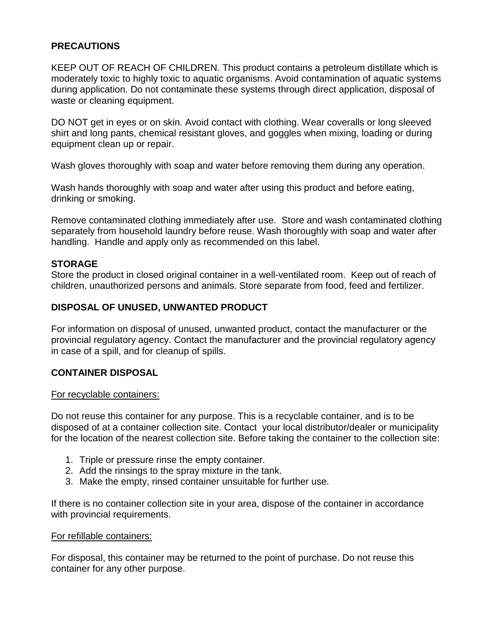# **PRECAUTIONS**

KEEP OUT OF REACH OF CHILDREN. This product contains a petroleum distillate which is moderately toxic to highly toxic to aquatic organisms. Avoid contamination of aquatic systems during application. Do not contaminate these systems through direct application, disposal of waste or cleaning equipment.

DO NOT get in eyes or on skin. Avoid contact with clothing. Wear coveralls or long sleeved shirt and long pants, chemical resistant gloves, and goggles when mixing, loading or during equipment clean up or repair.

Wash gloves thoroughly with soap and water before removing them during any operation.

Wash hands thoroughly with soap and water after using this product and before eating, drinking or smoking.

Remove contaminated clothing immediately after use. Store and wash contaminated clothing separately from household laundry before reuse. Wash thoroughly with soap and water after handling. Handle and apply only as recommended on this label.

## **STORAGE**

Store the product in closed original container in a well-ventilated room. Keep out of reach of children, unauthorized persons and animals. Store separate from food, feed and fertilizer.

# **DISPOSAL OF UNUSED, UNWANTED PRODUCT**

For information on disposal of unused, unwanted product, contact the manufacturer or the provincial regulatory agency. Contact the manufacturer and the provincial regulatory agency in case of a spill, and for cleanup of spills.

## **CONTAINER DISPOSAL**

#### For recyclable containers:

Do not reuse this container for any purpose. This is a recyclable container, and is to be disposed of at a container collection site. Contact your local distributor/dealer or municipality for the location of the nearest collection site. Before taking the container to the collection site:

- 1. Triple or pressure rinse the empty container.
- 2. Add the rinsings to the spray mixture in the tank.
- 3. Make the empty, rinsed container unsuitable for further use.

If there is no container collection site in your area, dispose of the container in accordance with provincial requirements.

#### For refillable containers:

For disposal, this container may be returned to the point of purchase. Do not reuse this container for any other purpose.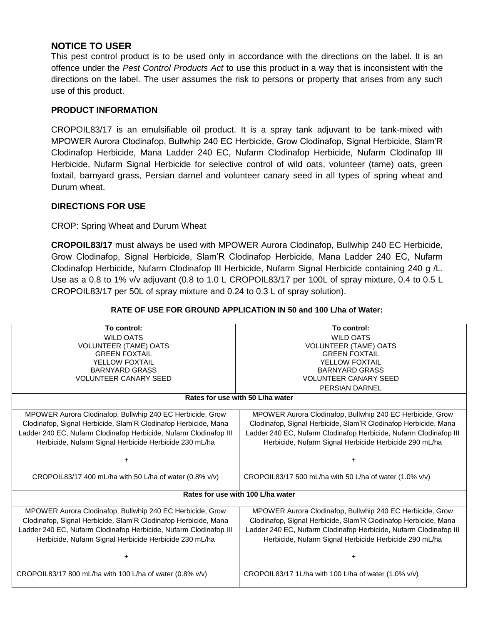# **NOTICE TO USER**

This pest control product is to be used only in accordance with the directions on the label. It is an offence under the *Pest Control Products Act* to use this product in a way that is inconsistent with the directions on the label. The user assumes the risk to persons or property that arises from any such use of this product.

#### **PRODUCT INFORMATION**

CROPOIL83/17 is an emulsifiable oil product. It is a spray tank adjuvant to be tank-mixed with MPOWER Aurora Clodinafop, Bullwhip 240 EC Herbicide, Grow Clodinafop, Signal Herbicide, Slam'R Clodinafop Herbicide, Mana Ladder 240 EC, Nufarm Clodinafop Herbicide, Nufarm Clodinafop III Herbicide, Nufarm Signal Herbicide for selective control of wild oats, volunteer (tame) oats, green foxtail, barnyard grass, Persian darnel and volunteer canary seed in all types of spring wheat and Durum wheat.

#### **DIRECTIONS FOR USE**

CROP: Spring Wheat and Durum Wheat

**CROPOIL83/17** must always be used with MPOWER Aurora Clodinafop, Bullwhip 240 EC Herbicide, Grow Clodinafop, Signal Herbicide, Slam'R Clodinafop Herbicide, Mana Ladder 240 EC, Nufarm Clodinafop Herbicide, Nufarm Clodinafop III Herbicide, Nufarm Signal Herbicide containing 240 g /L. Use as a 0.8 to 1% v/v adjuvant (0.8 to 1.0 L CROPOIL83/17 per 100L of spray mixture, 0.4 to 0.5 L CROPOIL83/17 per 50L of spray mixture and 0.24 to 0.3 L of spray solution).

| To control:                                                       | To control:                                                       |
|-------------------------------------------------------------------|-------------------------------------------------------------------|
| <b>WILD OATS</b>                                                  | <b>WILD OATS</b>                                                  |
| <b>VOLUNTEER (TAME) OATS</b>                                      | <b>VOLUNTEER (TAME) OATS</b>                                      |
| <b>GREEN FOXTAIL</b>                                              | <b>GREEN FOXTAIL</b>                                              |
| YELLOW FOXTAIL                                                    | YELLOW FOXTAIL                                                    |
| <b>BARNYARD GRASS</b>                                             | <b>BARNYARD GRASS</b>                                             |
| <b>VOLUNTEER CANARY SEED</b>                                      | <b>VOLUNTEER CANARY SEED</b>                                      |
|                                                                   | PERSIAN DARNEL                                                    |
| Rates for use with 50 L/ha water                                  |                                                                   |
| MPOWER Aurora Clodinafop, Bullwhip 240 EC Herbicide, Grow         | MPOWER Aurora Clodinafop, Bullwhip 240 EC Herbicide, Grow         |
| Clodinafop, Signal Herbicide, Slam'R Clodinafop Herbicide, Mana   | Clodinafop, Signal Herbicide, Slam'R Clodinafop Herbicide, Mana   |
| Ladder 240 EC, Nufarm Clodinafop Herbicide, Nufarm Clodinafop III | Ladder 240 EC, Nufarm Clodinafop Herbicide, Nufarm Clodinafop III |
| Herbicide, Nufarm Signal Herbicide Herbicide 230 mL/ha            | Herbicide, Nufarm Signal Herbicide Herbicide 290 mL/ha            |
|                                                                   |                                                                   |
| $\ddot{}$                                                         |                                                                   |
| CROPOIL83/17 400 mL/ha with 50 L/ha of water (0.8% v/v)           | CROPOIL83/17 500 mL/ha with 50 L/ha of water (1.0% v/v)           |
| Rates for use with 100 L/ha water                                 |                                                                   |
|                                                                   |                                                                   |
| MPOWER Aurora Clodinafop, Bullwhip 240 EC Herbicide, Grow         | MPOWER Aurora Clodinafop, Bullwhip 240 EC Herbicide, Grow         |
| Clodinafop, Signal Herbicide, Slam'R Clodinafop Herbicide, Mana   | Clodinafop, Signal Herbicide, Slam'R Clodinafop Herbicide, Mana   |
| Ladder 240 EC, Nufarm Clodinafop Herbicide, Nufarm Clodinafop III | Ladder 240 EC, Nufarm Clodinafop Herbicide, Nufarm Clodinafop III |
| Herbicide, Nufarm Signal Herbicide Herbicide 230 mL/ha            | Herbicide, Nufarm Signal Herbicide Herbicide 290 mL/ha            |
|                                                                   |                                                                   |
|                                                                   |                                                                   |
| CROPOIL83/17 800 mL/ha with 100 L/ha of water $(0.8\%$ v/v)       | CROPOIL83/17 1L/ha with 100 L/ha of water $(1.0\%$ v/v)           |

#### **RATE OF USE FOR GROUND APPLICATION IN 50 and 100 L/ha of Water:**